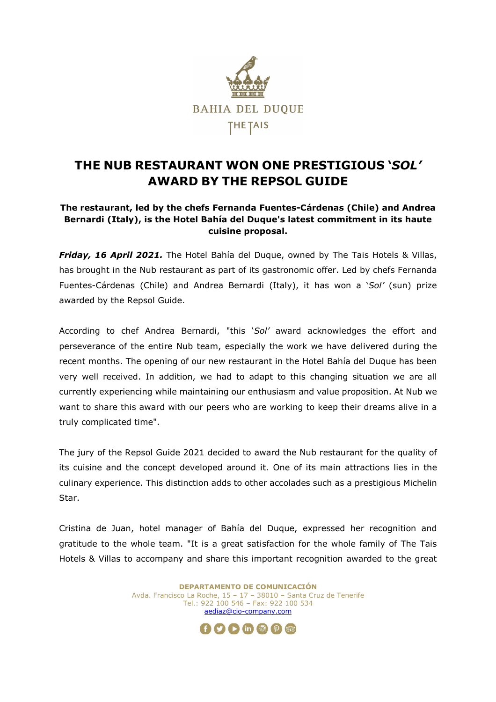

## **THE NUB RESTAURANT WON ONE PRESTIGIOUS '***SOL'* **AWARD BY THE REPSOL GUIDE**

## **The restaurant, led by the chefs Fernanda Fuentes-Cárdenas (Chile) and Andrea Bernardi (Italy), is the Hotel Bahía del Duque's latest commitment in its haute cuisine proposal.**

*Friday, 16 April 2021.* The Hotel Bahía del Duque, owned by The Tais Hotels & Villas, has brought in the Nub restaurant as part of its gastronomic offer. Led by chefs Fernanda Fuentes-Cárdenas (Chile) and Andrea Bernardi (Italy), it has won a '*Sol'* (sun) prize awarded by the Repsol Guide.

According to chef Andrea Bernardi, "this '*Sol'* award acknowledges the effort and perseverance of the entire Nub team, especially the work we have delivered during the recent months. The opening of our new restaurant in the Hotel Bahía del Duque has been very well received. In addition, we had to adapt to this changing situation we are all currently experiencing while maintaining our enthusiasm and value proposition. At Nub we want to share this award with our peers who are working to keep their dreams alive in a truly complicated time".

The jury of the Repsol Guide 2021 decided to award the Nub restaurant for the quality of its cuisine and the concept developed around it. One of its main attractions lies in the culinary experience. This distinction adds to other accolades such as a prestigious Michelin Star.

Cristina de Juan, hotel manager of Bahía del Duque, expressed her recognition and gratitude to the whole team. "It is a great satisfaction for the whole family of The Tais Hotels & Villas to accompany and share this important recognition awarded to the great

> **DEPARTAMENTO DE COMUNICACIÓN** Avda. Francisco La Roche, 15 – 17 – 38010 – Santa Cruz de Tenerife Tel.: 922 100 546 – Fax: 922 100 534 aediaz@cio-company.com